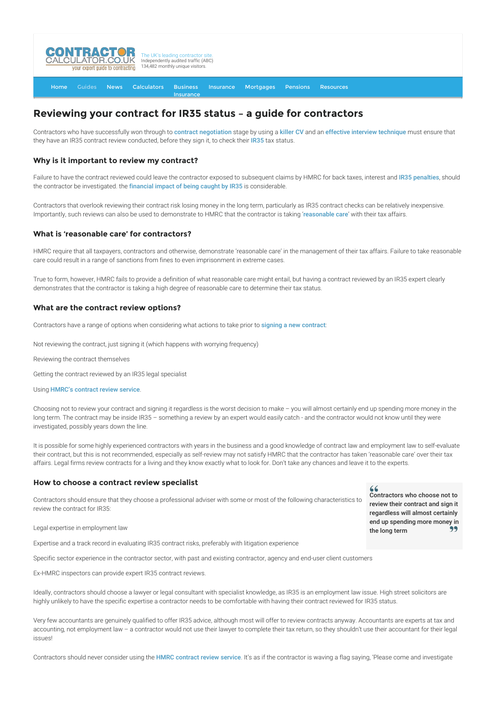

#### [Home](http://www.contractorcalculator.co.uk/) [Guides](http://www.contractorcalculator.co.uk/Articles.aspx) [News](http://www.contractorcalculator.co.uk/Contractor_News.aspx) [Calculators](http://www.contractorcalculator.co.uk/Calculators.aspx) Business **[Insurance](http://www.contractorcalculator.co.uk/Contractor_Insurances.aspx)** [Insurance](http://www.contractorcalculator.co.uk/Insurance.aspx) [Mortgages](http://www.contractorcalculator.co.uk/Contractor_Mortgages.aspx) [Pensions](http://www.contractorcalculator.co.uk/Contractor_Pensions.aspx) [Resources](http://www.contractorcalculator.co.uk/Contractor_Resources.aspx)

# **Reviewing your contract for IR35 status – a guide for contractors**

Contractors who have successfully won through to [contract negotiation](http://www.contractorcalculator.co.uk/negotiating_contract_rate.aspx) stage by using a [killer CV](http://www.contractorcalculator.co.uk/writing_killer_cv.aspx) and an [effective interview technique](http://www.contractorcalculator.co.uk/killer_interview_technique_success_contractor.aspx) must ensure that they have an [IR35](http://www.contractorcalculator.co.uk/what_is_ir35.aspx) contract review conducted, before they sign it, to check their IR35 tax status.

#### **Why is it important to review my contract?**

Failure to have the contract reviewed could leave the contractor exposed to subsequent claims by HMRC for back taxes, interest and [IR35 penalties](http://www.contractorcalculator.co.uk/ir35_penalties_cost_contractors_caught_inside.aspx), should the contractor be investigated. the [financial impact of being caught by IR35](http://www.contractorcalculator.co.uk/financial_impact_ir35_contractor.aspx) is considerable.

Contractors that overlook reviewing their contract risk losing money in the long term, particularly as IR35 contract checks can be relatively inexpensive. Importantly, such reviews can also be used to demonstrate to HMRC that the contractor is taking '[reasonable care](http://www.contractorcalculator.co.uk/reasonable_care_contractors_avoid_ir35_penalties_297910_news.aspx)' with their tax affairs.

### **What is 'reasonable care' for contractors?**

HMRC require that all taxpayers, contractors and otherwise, demonstrate 'reasonable care' in the management of their tax affairs. Failure to take reasonable care could result in a range of sanctions from fines to even imprisonment in extreme cases.

True to form, however, HMRC fails to provide a definition of what reasonable care might entail, but having a contract reviewed by an IR35 expert clearly demonstrates that the contractor is taking a high degree of reasonable care to determine their tax status.

### **What are the contract review options?**

Contractors have a range of options when considering what actions to take prior to [signing a new contract](http://www.contractorcalculator.co.uk/accepting_signing_contract_offer.aspx):

Not reviewing the contract, just signing it (which happens with worrying frequency)

Reviewing the contract themselves

Getting the contract reviewed by an IR35 legal specialist

Using [HMRC's contract review service](http://www.contractorcalculator.co.uk/hmrcs_ir35_contract_review_service.aspx).

Choosing not to review your contract and signing it regardless is the worst decision to make – you will almost certainly end up spending more money in the long term. The contract may be inside IR35 – something a review by an expert would easily catch - and the contractor would not know until they were investigated, possibly years down the line.

It is possible for some highly experienced contractors with years in the business and a good knowledge of contract law and employment law to self-evaluate their contract, but this is not recommended, especially as self-review may not satisfy HMRC that the contractor has taken 'reasonable care' over their tax affairs. Legal firms review contracts for a living and they know exactly what to look for. Don't take any chances and leave it to the experts.

#### **How to choose a contract review specialist**

Contractors should ensure that they choose a professional adviser with some or most of the following characteristics to review the contract for IR35:

Legal expertise in employment law

Expertise and a track record in evaluating IR35 contract risks, preferably with litigation experience

Specific sector experience in the contractor sector, with past and existing contractor, agency and end-user client customers

Ex-HMRC inspectors can provide expert IR35 contract reviews.

Ideally, contractors should choose a lawyer or legal consultant with specialist knowledge, as IR35 is an employment law issue. High street solicitors are highly unlikely to have the specific expertise a contractor needs to be comfortable with having their contract reviewed for IR35 status.

Very few accountants are genuinely qualified to offer IR35 advice, although most will offer to review contracts anyway. Accountants are experts at tax and accounting, not employment law - a contractor would not use their lawyer to complete their tax return, so they shouldn't use their accountant for their legal issues!

Contractors should never consider using the [HMRC contract review service](http://www.contractorcalculator.co.uk/hmrcs_ir35_contract_review_service.aspx). It's as if the contractor is waving a flag saying, 'Please come and investigate

46 Contractors who choose not to review their contract and sign it regardless will almost certainly end up spending more money in the long term 99